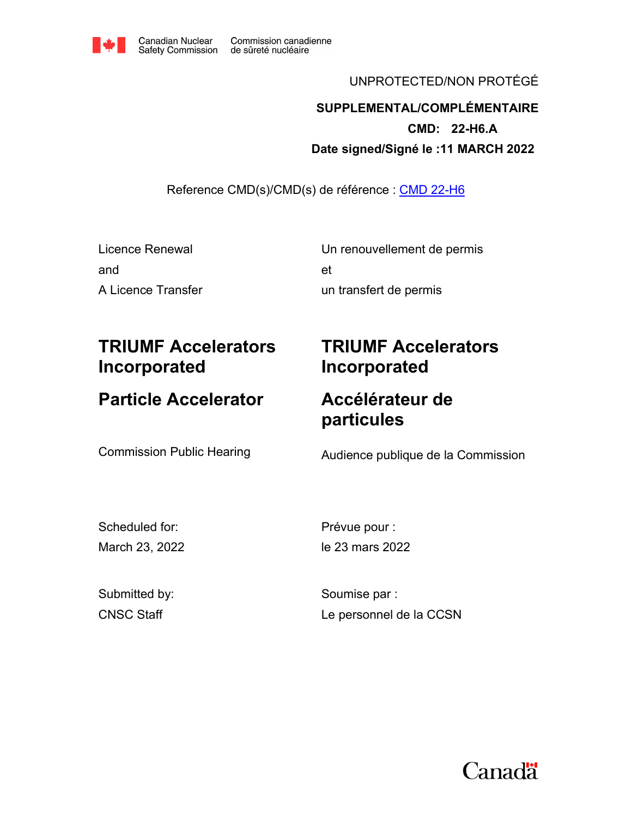

#### UNPROTECTED/NON PROTÉGÉ

## **Date signed/Signé le :11 MARCH 2022 CMD: 22-H6.A SUPPLEMENTAL/COMPLÉMENTAIRE**

Reference CMD(s)/CMD(s) de référence : CMD 22-H6

| Licence Renewal    | Un renouvellement de permis |
|--------------------|-----------------------------|
| and                | еt                          |
| A Licence Transfer | un transfert de permis      |

# **TRIUMF Accelerators Incorporated**

# **Particle Accelerator**

# **TRIUMF Accelerators Incorporated**

## **Accélérateur de particules**

Commission Public Hearing **Audience publique de la Commission** 

Scheduled for: March 23, 2022 Prévue pour : le 23 mars 2022

Submitted by: CNSC Staff

Soumise par : Le personnel de la CCSN

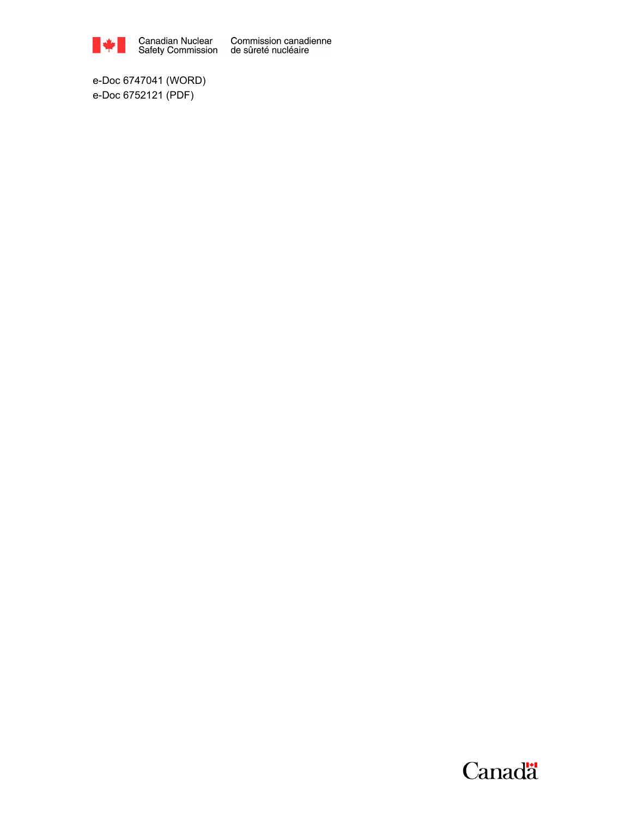

Canadian Nuclear Commission canadienne<br>Safety Commission de sûreté nucléaire

e-Doc 6747041 (WORD) e-Doc 6752121 (PDF)

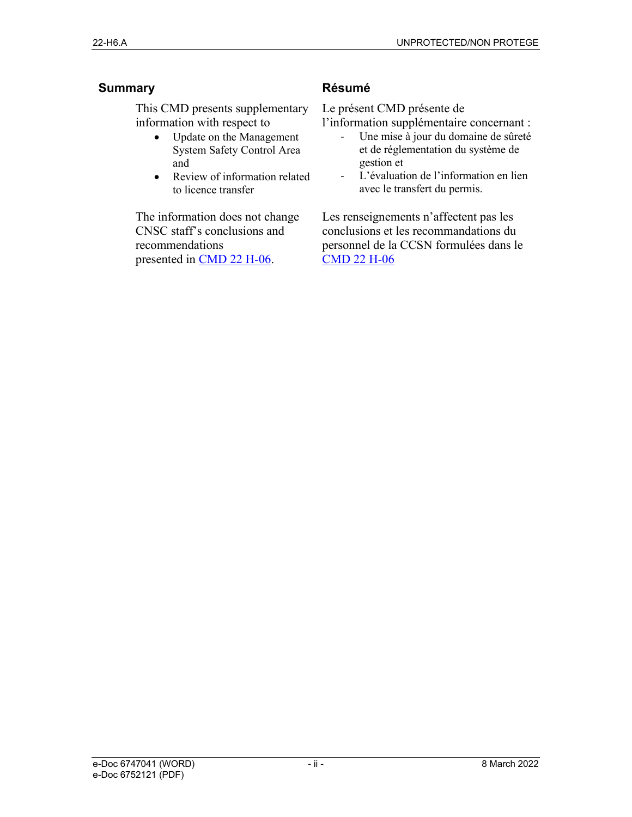#### **Summary**

This CMD presents supplementary information with respect to

- Update on the Management System Safety Control Area and
- Review of information related to licence transfer

The information does not change CNSC staff's conclusions and recommendations presented in CMD 22 H-06.

#### **Résumé**

Le présent CMD présente de

l'information supplémentaire concernant :

- Une mise à jour du domaine de sûreté et de réglementation du système de gestion et
- L'évaluation de l'information en lien avec le transfert du permis.

Les renseignements n'affectent pas les conclusions et les recommandations du personnel de la CCSN formulées dans le CMD 22 H-06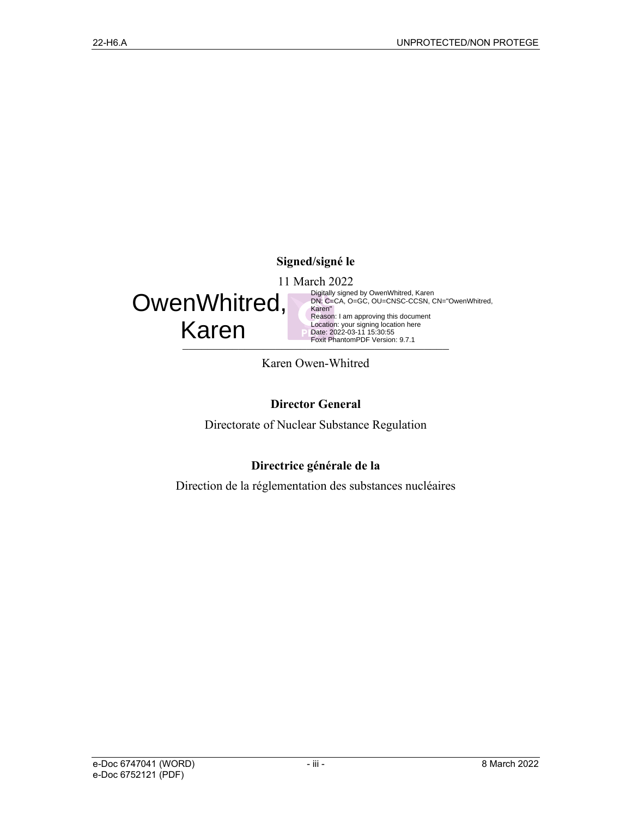#### **Signed/signé le**

11 March 2022



Foxit PhantomPDF Version: 9.7.1 Digitally signed by OwenWhitred, Karen DN: C=CA, O=GC, OU=CNSC-CCSN, CN="OwenWhitred, Karen" Reason: I am approving this document Location: your signing location here Date: 2022-03-11 15:30:55 Foxit PhantomPDF Version: 9.7.1

Karen Owen-Whitred

#### **Director General**

Directorate of Nuclear Substance Regulation

#### **Directrice générale de la**

Direction de la réglementation des substances nucléaires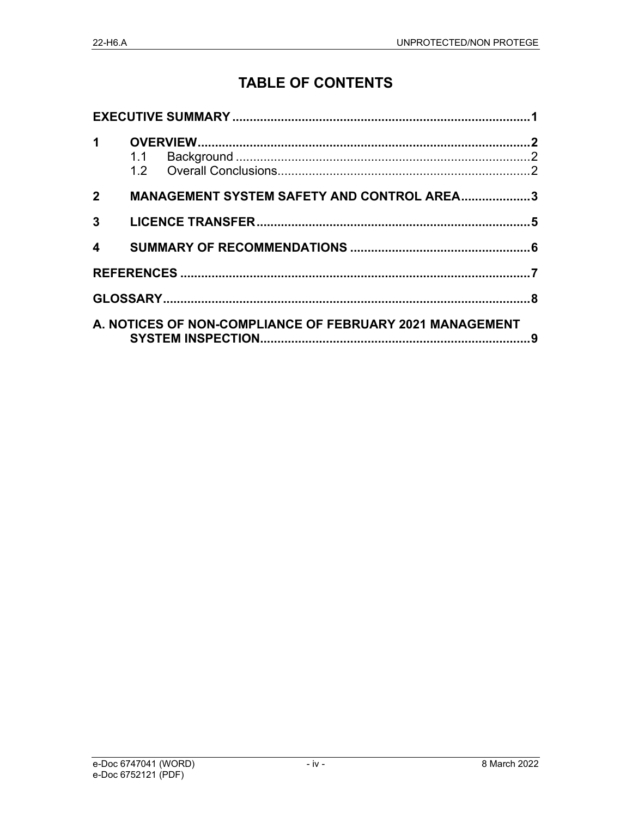## **TABLE OF CONTENTS**

| $2^{\sim}$              |  | <b>MANAGEMENT SYSTEM SAFETY AND CONTROL AREA3</b>        |  |  |
|-------------------------|--|----------------------------------------------------------|--|--|
| $3^{\circ}$             |  |                                                          |  |  |
| $\overline{\mathbf{A}}$ |  |                                                          |  |  |
|                         |  |                                                          |  |  |
|                         |  |                                                          |  |  |
|                         |  | A. NOTICES OF NON-COMPLIANCE OF FEBRUARY 2021 MANAGEMENT |  |  |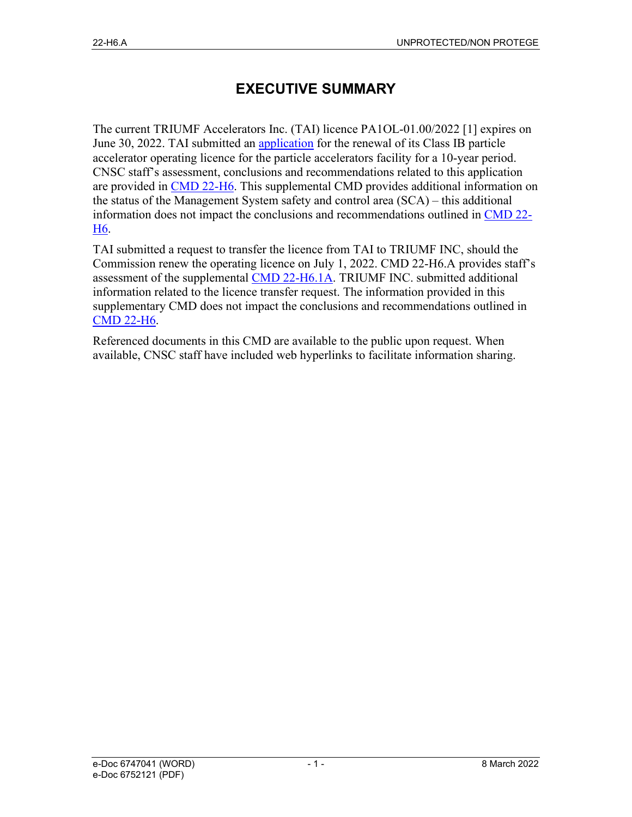## **EXECUTIVE SUMMARY**

The current TRIUMF Accelerators Inc. (TAI) licence PA1OL-01.00/2022 [1] expires on June 30, 2022. TAI submitted an application for the renewal of its Class IB particle accelerator operating licence for the particle accelerators facility for a 10-year period. CNSC staff's assessment, conclusions and recommendations related to this application are provided in CMD 22-H6. This supplemental CMD provides additional information on the status of the Management System safety and control area (SCA) – this additional information does not impact the conclusions and recommendations outlined in CMD 22- H6.

TAI submitted a request to transfer the licence from TAI to TRIUMF INC, should the Commission renew the operating licence on July 1, 2022. CMD 22-H6.A provides staff's assessment of the supplemental CMD 22-H6.1A. TRIUMF INC. submitted additional information related to the licence transfer request. The information provided in this supplementary CMD does not impact the conclusions and recommendations outlined in CMD 22-H6.

Referenced documents in this CMD are available to the public upon request. When available, CNSC staff have included web hyperlinks to facilitate information sharing.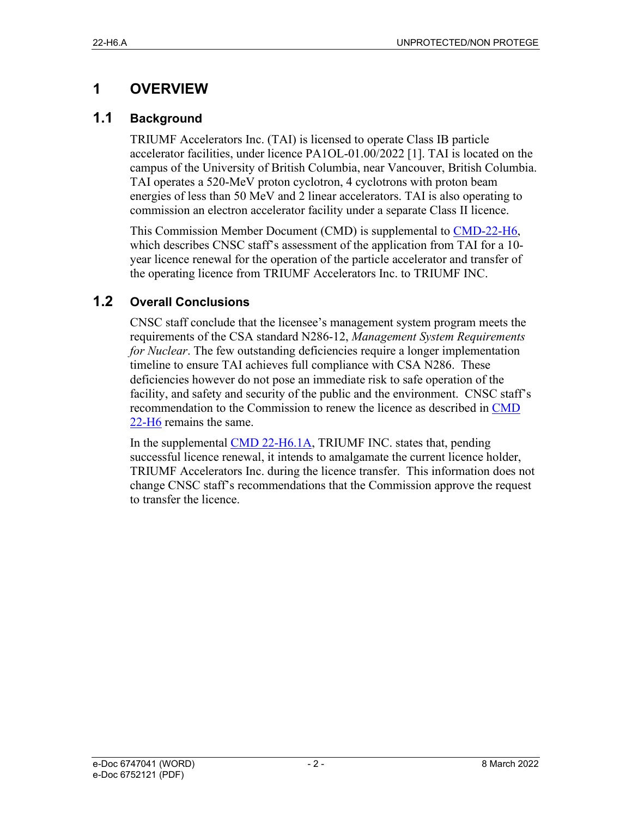## **1 OVERVIEW**

#### **1.1 Background**

TRIUMF Accelerators Inc. (TAI) is licensed to operate Class IB particle accelerator facilities, under licence PA1OL-01.00/2022 [1]. TAI is located on the campus of the University of British Columbia, near Vancouver, British Columbia. TAI operates a 520-MeV proton cyclotron, 4 cyclotrons with proton beam energies of less than 50 MeV and 2 linear accelerators. TAI is also operating to commission an electron accelerator facility under a separate Class II licence.

This Commission Member Document (CMD) is supplemental to CMD-22-H6, which describes CNSC staff's assessment of the application from TAI for a 10 year licence renewal for the operation of the particle accelerator and transfer of the operating licence from TRIUMF Accelerators Inc. to TRIUMF INC.

### **1.2 Overall Conclusions**

CNSC staff conclude that the licensee's management system program meets the requirements of the CSA standard N286-12, *Management System Requirements for Nuclear*. The few outstanding deficiencies require a longer implementation timeline to ensure TAI achieves full compliance with CSA N286. These deficiencies however do not pose an immediate risk to safe operation of the facility, and safety and security of the public and the environment. CNSC staff's recommendation to the Commission to renew the licence as described in CMD 22-H6 remains the same.

In the supplemental CMD 22-H6.1A, TRIUMF INC. states that, pending successful licence renewal, it intends to amalgamate the current licence holder, TRIUMF Accelerators Inc. during the licence transfer. This information does not change CNSC staff's recommendations that the Commission approve the request to transfer the licence.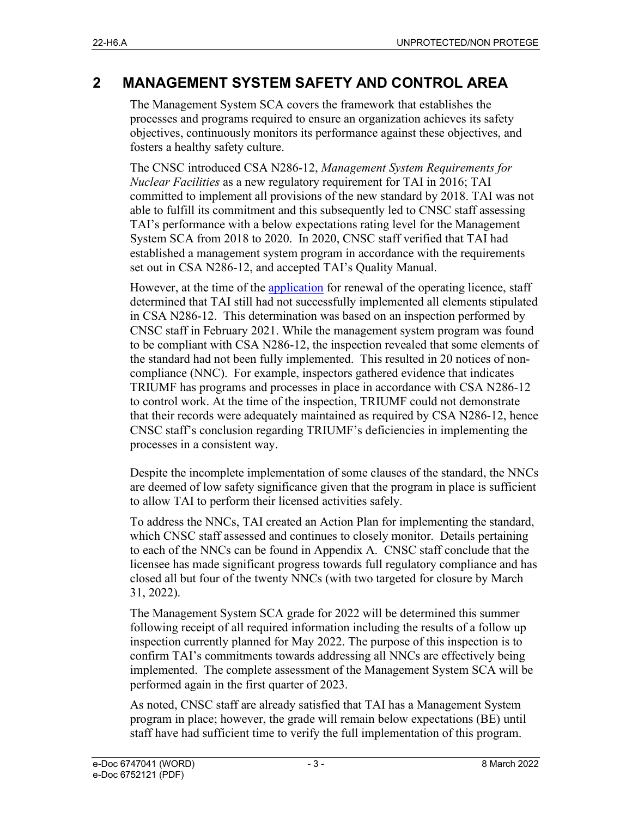### **2 MANAGEMENT SYSTEM SAFETY AND CONTROL AREA**

The Management System SCA covers the framework that establishes the processes and programs required to ensure an organization achieves its safety objectives, continuously monitors its performance against these objectives, and fosters a healthy safety culture.

The CNSC introduced CSA N286-12, *Management System Requirements for Nuclear Facilities* as a new regulatory requirement for TAI in 2016; TAI committed to implement all provisions of the new standard by 2018. TAI was not able to fulfill its commitment and this subsequently led to CNSC staff assessing TAI's performance with a below expectations rating level for the Management System SCA from 2018 to 2020. In 2020, CNSC staff verified that TAI had established a management system program in accordance with the requirements set out in CSA N286-12, and accepted TAI's Quality Manual.

However, at the time of the application for renewal of the operating licence, staff determined that TAI still had not successfully implemented all elements stipulated in CSA N286-12. This determination was based on an inspection performed by CNSC staff in February 2021. While the management system program was found to be compliant with CSA N286-12, the inspection revealed that some elements of the standard had not been fully implemented. This resulted in 20 notices of noncompliance (NNC). For example, inspectors gathered evidence that indicates TRIUMF has programs and processes in place in accordance with CSA N286-12 to control work. At the time of the inspection, TRIUMF could not demonstrate that their records were adequately maintained as required by CSA N286-12, hence CNSC staff's conclusion regarding TRIUMF's deficiencies in implementing the processes in a consistent way.

Despite the incomplete implementation of some clauses of the standard, the NNCs are deemed of low safety significance given that the program in place is sufficient to allow TAI to perform their licensed activities safely.

To address the NNCs, TAI created an Action Plan for implementing the standard, which CNSC staff assessed and continues to closely monitor. Details pertaining to each of the NNCs can be found in Appendix A. CNSC staff conclude that the licensee has made significant progress towards full regulatory compliance and has closed all but four of the twenty NNCs (with two targeted for closure by March 31, 2022).

The Management System SCA grade for 2022 will be determined this summer following receipt of all required information including the results of a follow up inspection currently planned for May 2022. The purpose of this inspection is to confirm TAI's commitments towards addressing all NNCs are effectively being implemented. The complete assessment of the Management System SCA will be performed again in the first quarter of 2023.

As noted, CNSC staff are already satisfied that TAI has a Management System program in place; however, the grade will remain below expectations (BE) until staff have had sufficient time to verify the full implementation of this program.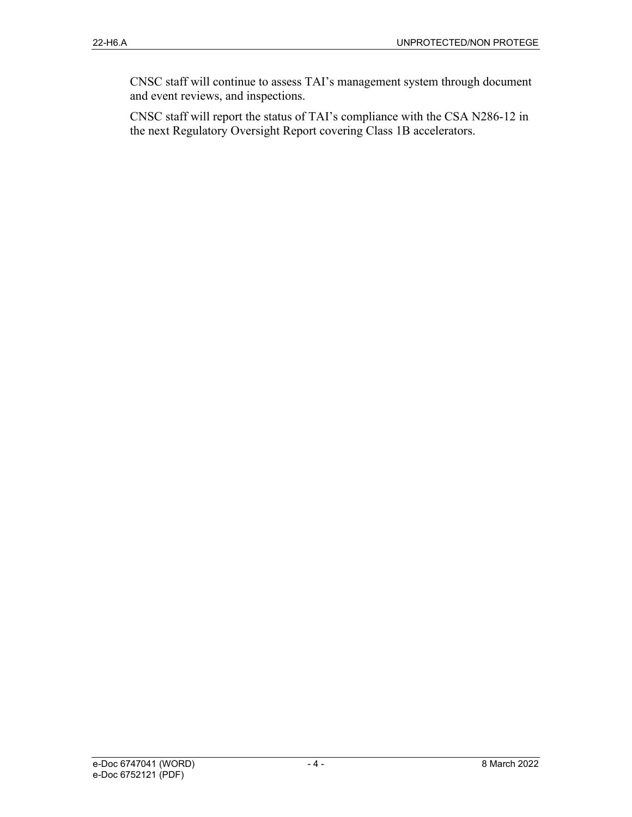CNSC staff will continue to assess TAI's management system through document and event reviews, and inspections.

CNSC staff will report the status of TAI's compliance with the CSA N286-12 in the next Regulatory Oversight Report covering Class 1B accelerators.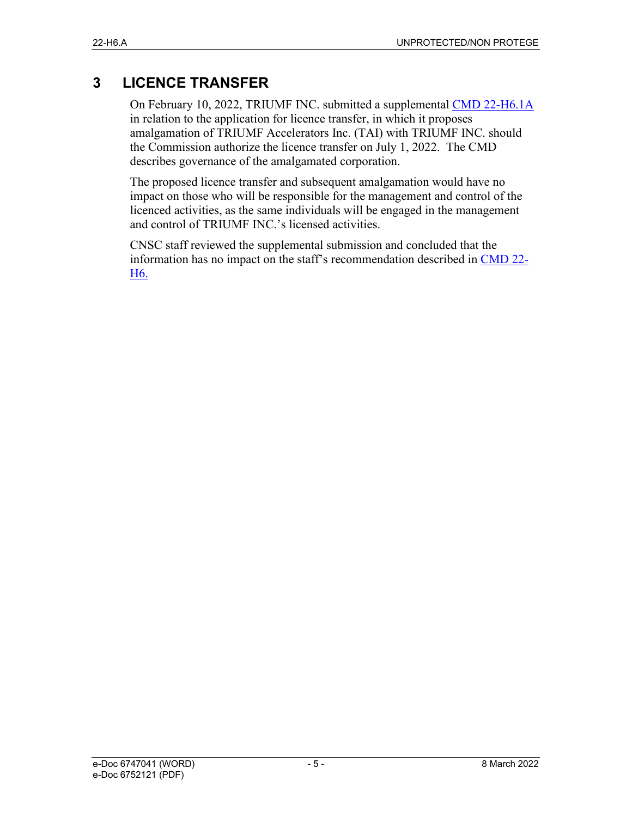## **3 LICENCE TRANSFER**

On February 10, 2022, TRIUMF INC. submitted a supplemental CMD 22-H6.1A in relation to the application for licence transfer, in which it proposes amalgamation of TRIUMF Accelerators Inc. (TAI) with TRIUMF INC. should the Commission authorize the licence transfer on July 1, 2022. The CMD describes governance of the amalgamated corporation.

The proposed licence transfer and subsequent amalgamation would have no impact on those who will be responsible for the management and control of the licenced activities, as the same individuals will be engaged in the management and control of TRIUMF INC.'s licensed activities.

CNSC staff reviewed the supplemental submission and concluded that the information has no impact on the staff's recommendation described in CMD 22- H6.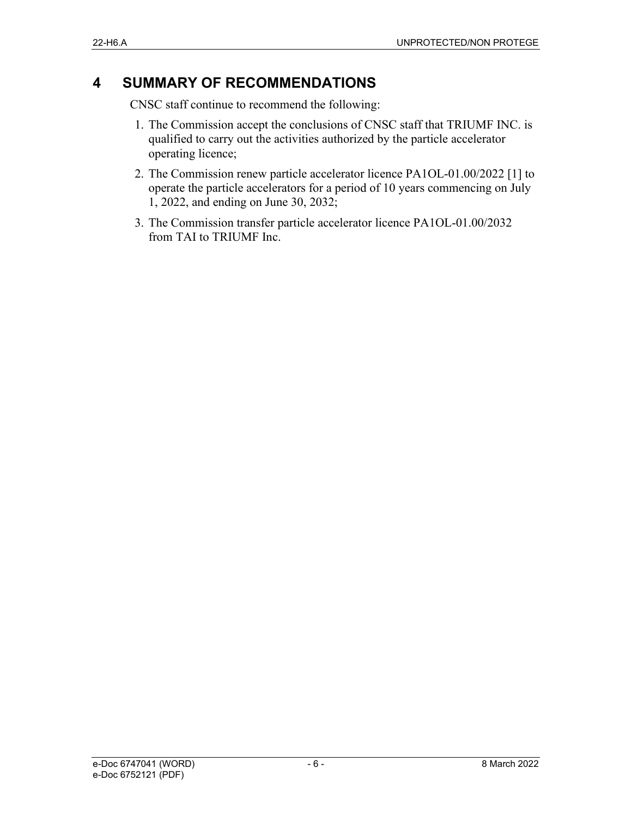### **4 SUMMARY OF RECOMMENDATIONS**

CNSC staff continue to recommend the following:

- 1. The Commission accept the conclusions of CNSC staff that TRIUMF INC. is qualified to carry out the activities authorized by the particle accelerator operating licence;
- 2. The Commission renew particle accelerator licence PA1OL-01.00/2022 [1] to operate the particle accelerators for a period of 10 years commencing on July 1, 2022, and ending on June 30, 2032;
- 3. The Commission transfer particle accelerator licence PA1OL-01.00/2032 from TAI to TRIUMF Inc.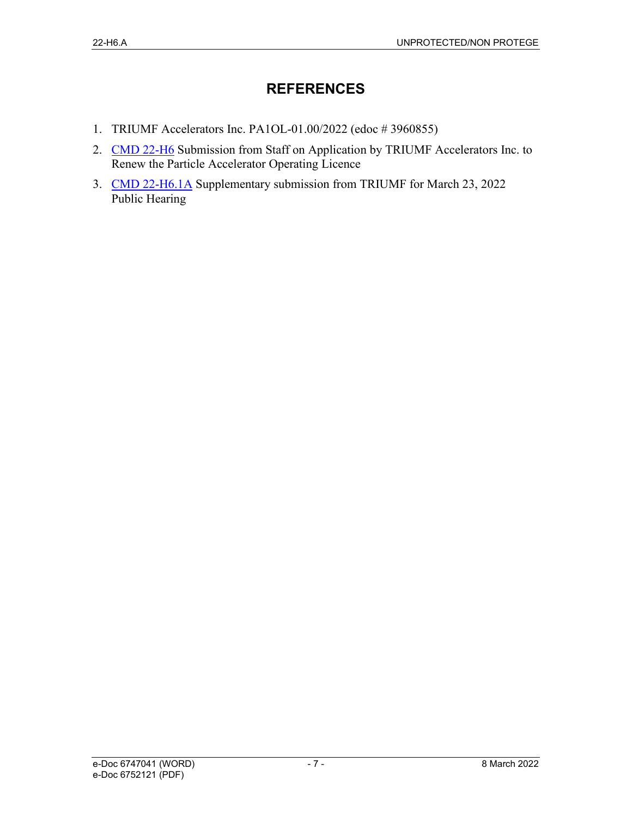### **REFERENCES**

- 1. TRIUMF Accelerators Inc. PA1OL-01.00/2022 (edoc # 3960855)
- 2. CMD 22-H6 Submission from Staff on Application by TRIUMF Accelerators Inc. to Renew the Particle Accelerator Operating Licence
- 3. CMD 22-H6.1A Supplementary submission from TRIUMF for March 23, 2022 Public Hearing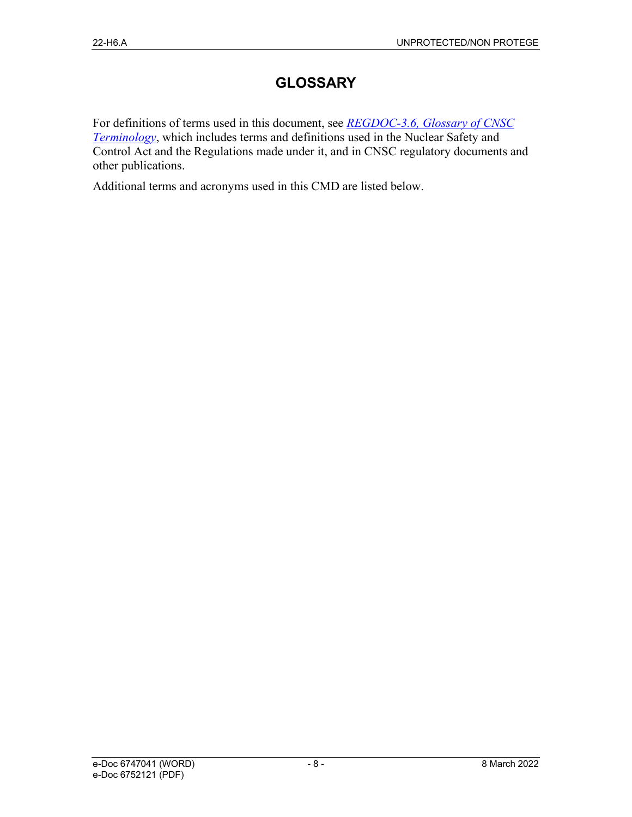### **GLOSSARY**

For definitions of terms used in this document, see *REGDOC-3.6, Glossary of CNSC Terminology*, which includes terms and definitions used in the Nuclear Safety and Control Act and the Regulations made under it, and in CNSC regulatory documents and other publications.

Additional terms and acronyms used in this CMD are listed below.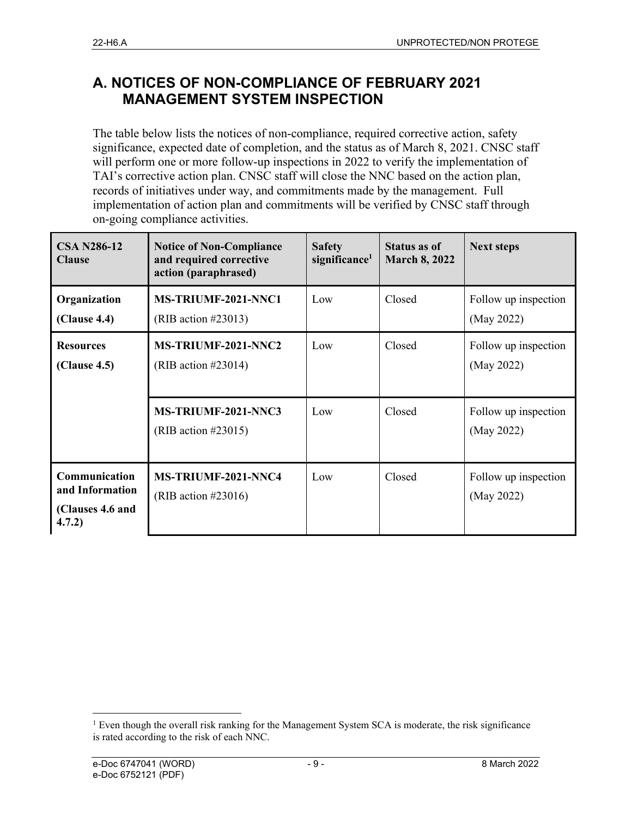### **A. NOTICES OF NON-COMPLIANCE OF FEBRUARY 2021 MANAGEMENT SYSTEM INSPECTION**

The table below lists the notices of non-compliance, required corrective action, safety significance, expected date of completion, and the status as of March 8, 2021. CNSC staff will perform one or more follow-up inspections in 2022 to verify the implementation of TAI's corrective action plan. CNSC staff will close the NNC based on the action plan, records of initiatives under way, and commitments made by the management. Full implementation of action plan and commitments will be verified by CNSC staff through on-going compliance activities.

| <b>CSA N286-12</b><br><b>Clause</b>                            | <b>Notice of Non-Compliance</b><br>and required corrective<br>action (paraphrased) | <b>Safety</b><br>significance <sup>1</sup> | <b>Status as of</b><br><b>March 8, 2022</b> | <b>Next steps</b>                  |
|----------------------------------------------------------------|------------------------------------------------------------------------------------|--------------------------------------------|---------------------------------------------|------------------------------------|
| Organization<br>(Clause 4.4)                                   | <b>MS-TRIUMF-2021-NNC1</b><br>(RIB action $\#23013$ )                              | Low                                        | Closed                                      | Follow up inspection<br>(May 2022) |
| <b>Resources</b><br>(Clause 4.5)                               | MS-TRIUMF-2021-NNC2<br>(RIB action $\#23014$ )                                     | Low                                        | Closed                                      | Follow up inspection<br>(May 2022) |
|                                                                | MS-TRIUMF-2021-NNC3<br>(RIB action #23015)                                         | Low                                        | Closed                                      | Follow up inspection<br>(May 2022) |
| Communication<br>and Information<br>(Clauses 4.6 and<br>4.7.2) | MS-TRIUMF-2021-NNC4<br>(RIB action $\#23016$ )                                     | Low                                        | Closed                                      | Follow up inspection<br>(May 2022) |

 $1$  Even though the overall risk ranking for the Management System SCA is moderate, the risk significance is rated according to the risk of each NNC.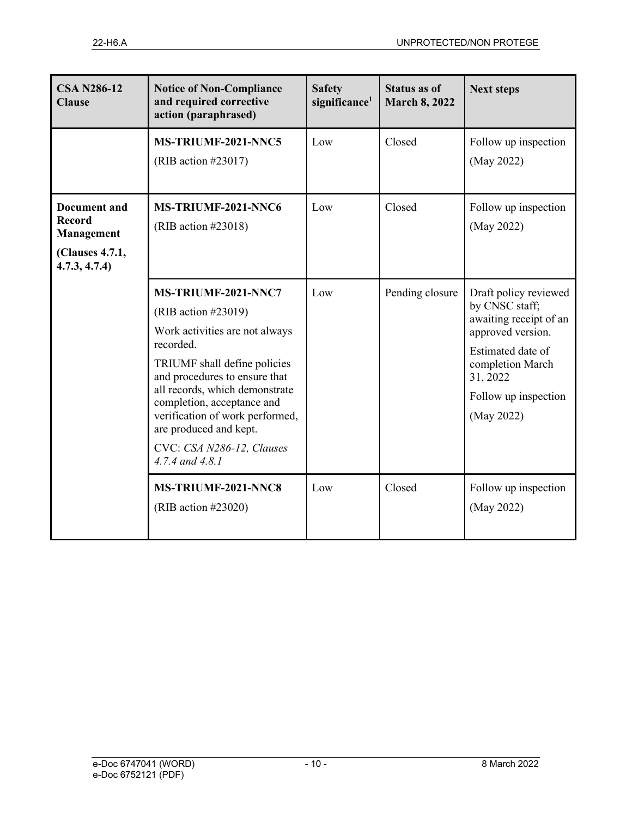| <b>CSA N286-12</b><br><b>Clause</b>                                                    | <b>Notice of Non-Compliance</b><br>and required corrective<br>action (paraphrased)                                                                                                                                                                                                                                                      | <b>Safety</b><br>significance <sup>1</sup> | <b>Status as of</b><br><b>March 8, 2022</b> | <b>Next steps</b>                                                                                                                                                                 |
|----------------------------------------------------------------------------------------|-----------------------------------------------------------------------------------------------------------------------------------------------------------------------------------------------------------------------------------------------------------------------------------------------------------------------------------------|--------------------------------------------|---------------------------------------------|-----------------------------------------------------------------------------------------------------------------------------------------------------------------------------------|
|                                                                                        | MS-TRIUMF-2021-NNC5<br>(RIB action #23017)                                                                                                                                                                                                                                                                                              | Low                                        | Closed                                      | Follow up inspection<br>(May 2022)                                                                                                                                                |
| <b>Document</b> and<br><b>Record</b><br>Management<br>(Clauses 4.7.1,<br>4.7.3, 4.7.4) | MS-TRIUMF-2021-NNC6<br>(RIB action $\#23018$ )                                                                                                                                                                                                                                                                                          | Low                                        | Closed                                      | Follow up inspection<br>(May 2022)                                                                                                                                                |
|                                                                                        | MS-TRIUMF-2021-NNC7<br>(RIB action #23019)<br>Work activities are not always<br>recorded.<br>TRIUMF shall define policies<br>and procedures to ensure that<br>all records, which demonstrate<br>completion, acceptance and<br>verification of work performed,<br>are produced and kept.<br>CVC: CSA N286-12, Clauses<br>4.7.4 and 4.8.1 | Low                                        | Pending closure                             | Draft policy reviewed<br>by CNSC staff;<br>awaiting receipt of an<br>approved version.<br>Estimated date of<br>completion March<br>31, 2022<br>Follow up inspection<br>(May 2022) |
|                                                                                        | MS-TRIUMF-2021-NNC8<br>(RIB action $\#23020$ )                                                                                                                                                                                                                                                                                          | Low                                        | Closed                                      | Follow up inspection<br>(May 2022)                                                                                                                                                |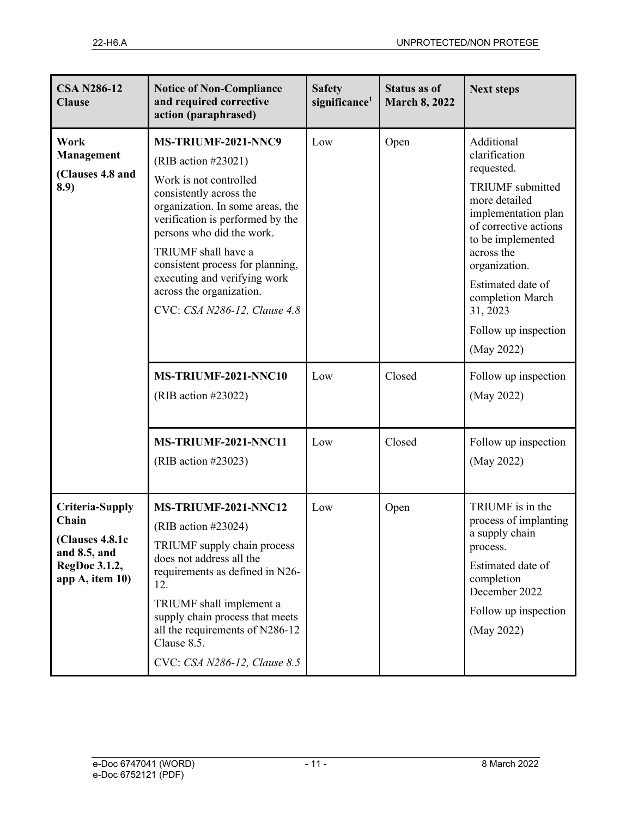| <b>CSA N286-12</b><br><b>Clause</b>                                                             | <b>Notice of Non-Compliance</b><br>and required corrective<br>action (paraphrased)                                                                                                                                                                                                                                                                              | <b>Safety</b><br>significance <sup>1</sup> | <b>Status as of</b><br><b>March 8, 2022</b> | <b>Next steps</b>                                                                                                                                                                                                                                                                    |
|-------------------------------------------------------------------------------------------------|-----------------------------------------------------------------------------------------------------------------------------------------------------------------------------------------------------------------------------------------------------------------------------------------------------------------------------------------------------------------|--------------------------------------------|---------------------------------------------|--------------------------------------------------------------------------------------------------------------------------------------------------------------------------------------------------------------------------------------------------------------------------------------|
| Work<br>Management<br>(Clauses 4.8 and<br>8.9)                                                  | MS-TRIUMF-2021-NNC9<br>(RIB action $\#23021$ )<br>Work is not controlled<br>consistently across the<br>organization. In some areas, the<br>verification is performed by the<br>persons who did the work.<br>TRIUMF shall have a<br>consistent process for planning,<br>executing and verifying work<br>across the organization.<br>CVC: CSA N286-12, Clause 4.8 | Low                                        | Open                                        | Additional<br>clarification<br>requested.<br><b>TRIUMF</b> submitted<br>more detailed<br>implementation plan<br>of corrective actions<br>to be implemented<br>across the<br>organization.<br>Estimated date of<br>completion March<br>31, 2023<br>Follow up inspection<br>(May 2022) |
|                                                                                                 | MS-TRIUMF-2021-NNC10<br>(RIB action #23022)                                                                                                                                                                                                                                                                                                                     | Low                                        | Closed                                      | Follow up inspection<br>(May 2022)                                                                                                                                                                                                                                                   |
|                                                                                                 | MS-TRIUMF-2021-NNC11<br>(RIB action #23023)                                                                                                                                                                                                                                                                                                                     | Low                                        | Closed                                      | Follow up inspection<br>(May 2022)                                                                                                                                                                                                                                                   |
| Criteria-Supply<br>Chain<br>(Clauses 4.8.1c<br>and 8.5, and<br>RegDoc 3.1.2,<br>app A, item 10) | MS-TRIUMF-2021-NNC12<br>(RIB action #23024)<br>TRIUMF supply chain process<br>does not address all the<br>requirements as defined in N26-<br>12.<br>TRIUMF shall implement a<br>supply chain process that meets<br>all the requirements of N286-12<br>Clause 8.5.<br>CVC: CSA N286-12, Clause 8.5                                                               | Low                                        | Open                                        | TRIUMF is in the<br>process of implanting<br>a supply chain<br>process.<br>Estimated date of<br>completion<br>December 2022<br>Follow up inspection<br>(May 2022)                                                                                                                    |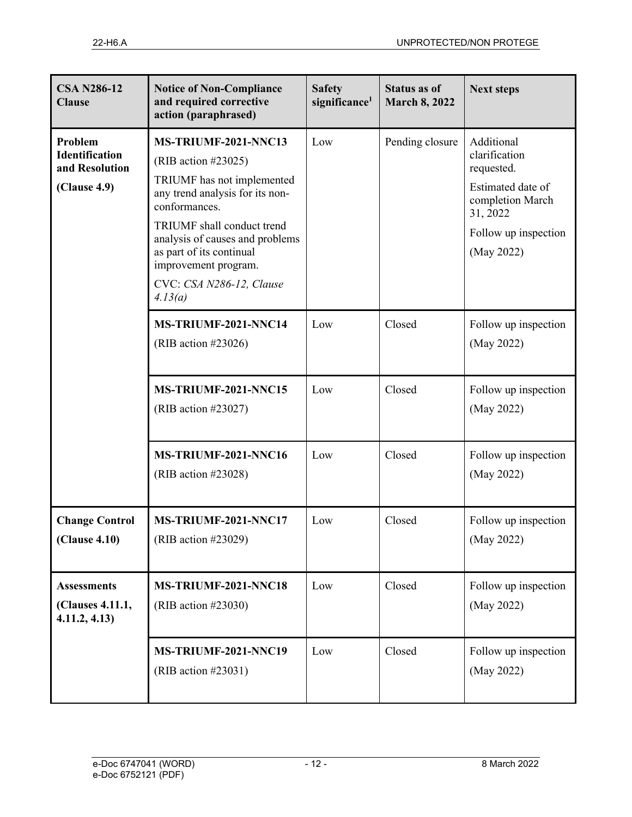| <b>CSA N286-12</b><br><b>Clause</b>                                | <b>Notice of Non-Compliance</b><br>and required corrective<br>action (paraphrased)                                                                                                                                                                                                        | <b>Safety</b><br>significance <sup>1</sup> | <b>Status as of</b><br><b>March 8, 2022</b> | <b>Next steps</b>                                                                                                                    |
|--------------------------------------------------------------------|-------------------------------------------------------------------------------------------------------------------------------------------------------------------------------------------------------------------------------------------------------------------------------------------|--------------------------------------------|---------------------------------------------|--------------------------------------------------------------------------------------------------------------------------------------|
| Problem<br><b>Identification</b><br>and Resolution<br>(Clause 4.9) | MS-TRIUMF-2021-NNC13<br>(RIB action #23025)<br>TRIUMF has not implemented<br>any trend analysis for its non-<br>conformances.<br>TRIUMF shall conduct trend<br>analysis of causes and problems<br>as part of its continual<br>improvement program.<br>CVC: CSA N286-12, Clause<br>4.13(a) | Low                                        | Pending closure                             | Additional<br>clarification<br>requested.<br>Estimated date of<br>completion March<br>31, 2022<br>Follow up inspection<br>(May 2022) |
|                                                                    | MS-TRIUMF-2021-NNC14<br>(RIB action #23026)                                                                                                                                                                                                                                               | Low                                        | Closed                                      | Follow up inspection<br>(May 2022)                                                                                                   |
|                                                                    | MS-TRIUMF-2021-NNC15<br>(RIB action #23027)                                                                                                                                                                                                                                               | Low                                        | Closed                                      | Follow up inspection<br>(May 2022)                                                                                                   |
|                                                                    | MS-TRIUMF-2021-NNC16<br>(RIB action #23028)                                                                                                                                                                                                                                               | Low                                        | Closed                                      | Follow up inspection<br>(May 2022)                                                                                                   |
| <b>Change Control</b><br>(Clause 4.10)                             | MS-TRIUMF-2021-NNC17<br>(RIB action #23029)                                                                                                                                                                                                                                               | Low                                        | Closed                                      | Follow up inspection<br>(May 2022)                                                                                                   |
| <b>Assessments</b><br>(Clauses 4.11.1,<br>4.11.2, 4.13             | MS-TRIUMF-2021-NNC18<br>(RIB action #23030)                                                                                                                                                                                                                                               | Low                                        | Closed                                      | Follow up inspection<br>(May 2022)                                                                                                   |
|                                                                    | MS-TRIUMF-2021-NNC19<br>(RIB action #23031)                                                                                                                                                                                                                                               | Low                                        | Closed                                      | Follow up inspection<br>(May 2022)                                                                                                   |